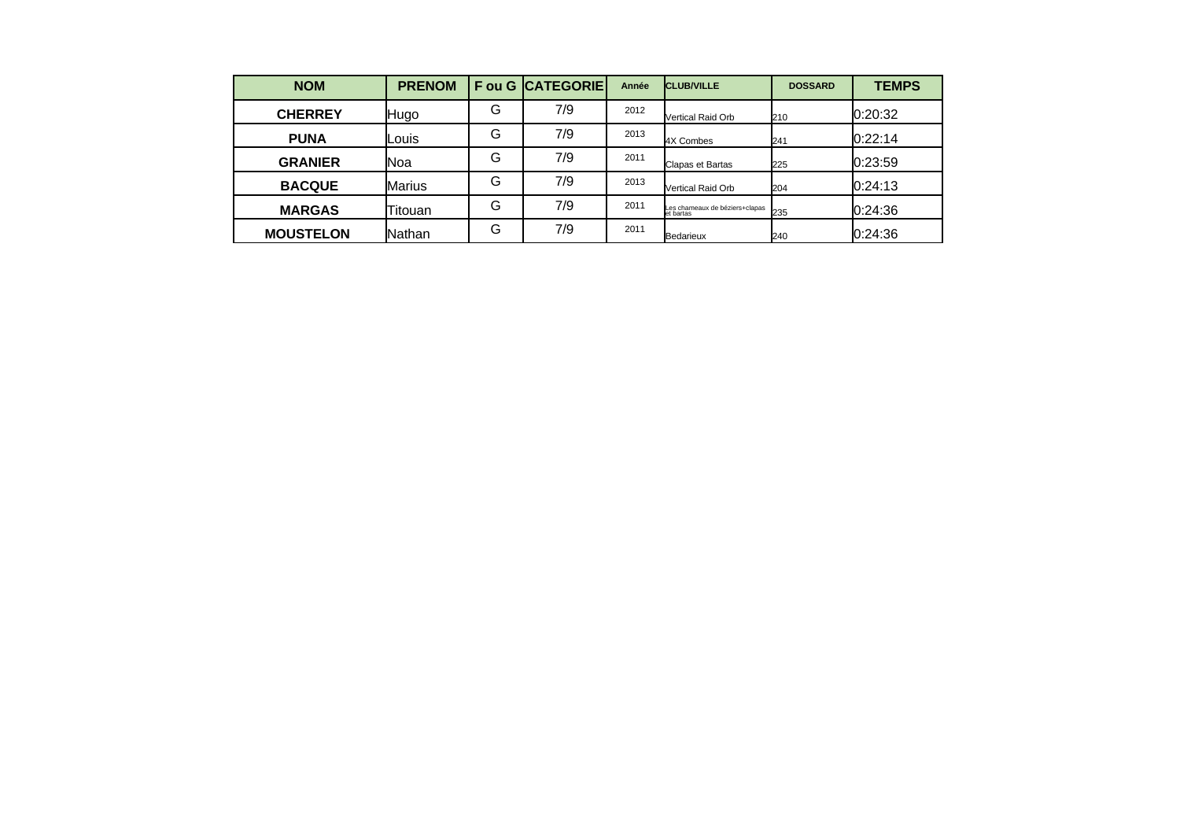| <b>NOM</b>       | <b>PRENOM</b> |   | <b>Fou G CATEGORIE</b> | Année | <b>CLUB/VILLE</b>                           | <b>DOSSARD</b> | <b>TEMPS</b> |
|------------------|---------------|---|------------------------|-------|---------------------------------------------|----------------|--------------|
| <b>CHERREY</b>   | Hugo          | G | 7/9                    | 2012  | Vertical Raid Orb                           | 210            | 0:20:32      |
| <b>PUNA</b>      | Louis         | G | 7/9                    | 2013  | <b>4X Combes</b>                            | 241            | 0:22:14      |
| <b>GRANIER</b>   | lNoa          | G | 7/9                    | 2011  | Clapas et Bartas                            | 225            | 10:23:59     |
| <b>BACQUE</b>    | <b>Marius</b> | G | 7/9                    | 2013  | Vertical Raid Orb                           | 204            | 10:24:13     |
| <b>MARGAS</b>    | lTitouan.     | G | 7/9                    | 2011  | Les chameaux de béziers+clapas<br>et bartas | 235            | 10:24:36     |
| <b>MOUSTELON</b> | lNathan       | G | 7/9                    | 2011  | Bedarieux                                   | 240            | 0:24:36      |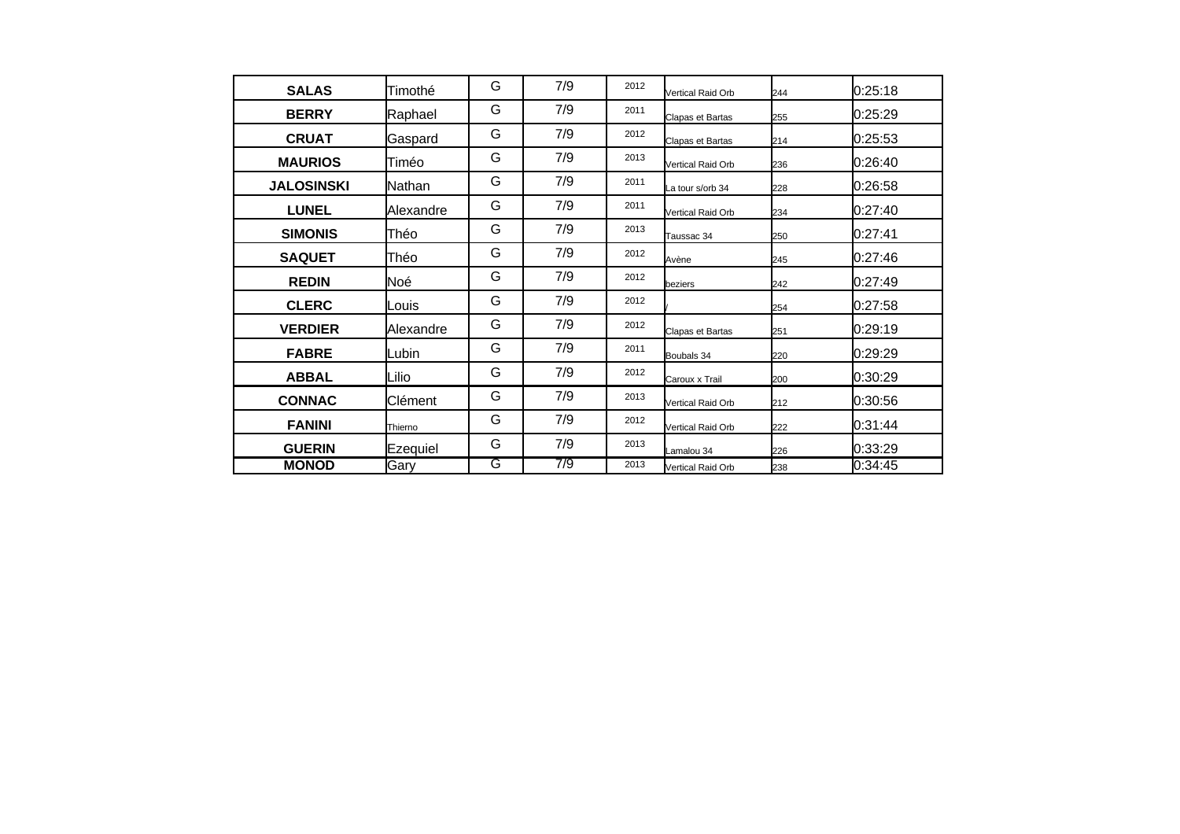| <b>SALAS</b>      | lTimothé       | G | 7/9 | 2012 | Vertical Raid Orb | 244 | 0:25:18  |
|-------------------|----------------|---|-----|------|-------------------|-----|----------|
| <b>BERRY</b>      | Raphael        | G | 7/9 | 2011 | Clapas et Bartas  | 255 | 0:25:29  |
| <b>CRUAT</b>      | Gaspard        | G | 7/9 | 2012 | Clapas et Bartas  | 214 | I0:25:53 |
| <b>MAURIOS</b>    | Timéo          | G | 7/9 | 2013 | Vertical Raid Orb | 236 | 0:26:40  |
| <b>JALOSINSKI</b> | <b>Nathan</b>  | G | 7/9 | 2011 | La tour s/orb 34  | 228 | 0:26:58  |
| <b>LUNEL</b>      | lAlexandre     | G | 7/9 | 2011 | Vertical Raid Orb | 234 | 10:27:40 |
| <b>SIMONIS</b>    | Théo           | G | 7/9 | 2013 | Taussac 34        | 250 | 0:27:41  |
| <b>SAQUET</b>     | Théo           | G | 7/9 | 2012 | Avène             | 245 | 0:27:46  |
| <b>REDIN</b>      | Noé            | G | 7/9 | 2012 | beziers           | 242 | 0:27:49  |
| <b>CLERC</b>      | Louis          | G | 7/9 | 2012 |                   | 254 | 0:27:58  |
| <b>VERDIER</b>    | lAlexandre     | G | 7/9 | 2012 | Clapas et Bartas  | 251 | 0:29:19  |
| <b>FABRE</b>      | <b>l</b> Lubin | G | 7/9 | 2011 | Boubals 34        | 220 | 0:29:29  |
| <b>ABBAL</b>      | lLilio         | G | 7/9 | 2012 | Caroux x Trail    | 200 | 0:30:29  |
| <b>CONNAC</b>     | Clément        | G | 7/9 | 2013 | Vertical Raid Orb | 212 | 0:30:56  |
| <b>FANINI</b>     | Thierno        | G | 7/9 | 2012 | Vertical Raid Orb | 222 | 0:31:44  |
| <b>GUERIN</b>     | Ezequiel       | G | 7/9 | 2013 | Lamalou 34        | 226 | 0:33:29  |
| <b>MONOD</b>      | Gary           | G | 7/9 | 2013 | Vertical Raid Orb | 238 | 0:34:45  |